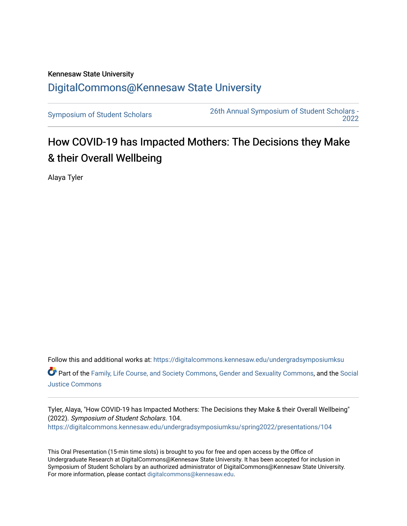## Kennesaw State University [DigitalCommons@Kennesaw State University](https://digitalcommons.kennesaw.edu/)

[Symposium of Student Scholars](https://digitalcommons.kennesaw.edu/undergradsymposiumksu) [26th Annual Symposium of Student Scholars -](https://digitalcommons.kennesaw.edu/undergradsymposiumksu/spring2022)  [2022](https://digitalcommons.kennesaw.edu/undergradsymposiumksu/spring2022) 

## How COVID-19 has Impacted Mothers: The Decisions they Make & their Overall Wellbeing

Alaya Tyler

Follow this and additional works at: [https://digitalcommons.kennesaw.edu/undergradsymposiumksu](https://digitalcommons.kennesaw.edu/undergradsymposiumksu?utm_source=digitalcommons.kennesaw.edu%2Fundergradsymposiumksu%2Fspring2022%2Fpresentations%2F104&utm_medium=PDF&utm_campaign=PDFCoverPages)  Part of the [Family, Life Course, and Society Commons,](http://network.bepress.com/hgg/discipline/419?utm_source=digitalcommons.kennesaw.edu%2Fundergradsymposiumksu%2Fspring2022%2Fpresentations%2F104&utm_medium=PDF&utm_campaign=PDFCoverPages) [Gender and Sexuality Commons](http://network.bepress.com/hgg/discipline/420?utm_source=digitalcommons.kennesaw.edu%2Fundergradsymposiumksu%2Fspring2022%2Fpresentations%2F104&utm_medium=PDF&utm_campaign=PDFCoverPages), and the [Social](http://network.bepress.com/hgg/discipline/1432?utm_source=digitalcommons.kennesaw.edu%2Fundergradsymposiumksu%2Fspring2022%2Fpresentations%2F104&utm_medium=PDF&utm_campaign=PDFCoverPages) [Justice Commons](http://network.bepress.com/hgg/discipline/1432?utm_source=digitalcommons.kennesaw.edu%2Fundergradsymposiumksu%2Fspring2022%2Fpresentations%2F104&utm_medium=PDF&utm_campaign=PDFCoverPages) 

Tyler, Alaya, "How COVID-19 has Impacted Mothers: The Decisions they Make & their Overall Wellbeing" (2022). Symposium of Student Scholars. 104. [https://digitalcommons.kennesaw.edu/undergradsymposiumksu/spring2022/presentations/104](https://digitalcommons.kennesaw.edu/undergradsymposiumksu/spring2022/presentations/104?utm_source=digitalcommons.kennesaw.edu%2Fundergradsymposiumksu%2Fspring2022%2Fpresentations%2F104&utm_medium=PDF&utm_campaign=PDFCoverPages)

This Oral Presentation (15-min time slots) is brought to you for free and open access by the Office of Undergraduate Research at DigitalCommons@Kennesaw State University. It has been accepted for inclusion in Symposium of Student Scholars by an authorized administrator of DigitalCommons@Kennesaw State University. For more information, please contact [digitalcommons@kennesaw.edu.](mailto:digitalcommons@kennesaw.edu)